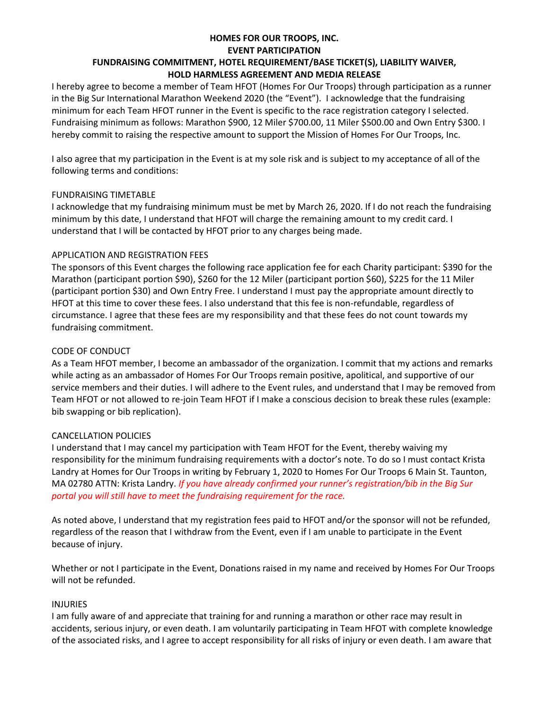# **HOMES FOR OUR TROOPS, INC. EVENT PARTICIPATION FUNDRAISING COMMITMENT, HOTEL REQUIREMENT/BASE TICKET(S), LIABILITY WAIVER,**

## **HOLD HARMLESS AGREEMENT AND MEDIA RELEASE**

I hereby agree to become a member of Team HFOT (Homes For Our Troops) through participation as a runner in the Big Sur International Marathon Weekend 2020 (the "Event"). I acknowledge that the fundraising minimum for each Team HFOT runner in the Event is specific to the race registration category I selected. Fundraising minimum as follows: Marathon \$900, 12 Miler \$700.00, 11 Miler \$500.00 and Own Entry \$300. I hereby commit to raising the respective amount to support the Mission of Homes For Our Troops, Inc.

I also agree that my participation in the Event is at my sole risk and is subject to my acceptance of all of the following terms and conditions:

#### FUNDRAISING TIMETABLE

I acknowledge that my fundraising minimum must be met by March 26, 2020. If I do not reach the fundraising minimum by this date, I understand that HFOT will charge the remaining amount to my credit card. I understand that I will be contacted by HFOT prior to any charges being made.

## APPLICATION AND REGISTRATION FEES

The sponsors of this Event charges the following race application fee for each Charity participant: \$390 for the Marathon (participant portion \$90), \$260 for the 12 Miler (participant portion \$60), \$225 for the 11 Miler (participant portion \$30) and Own Entry Free. I understand I must pay the appropriate amount directly to HFOT at this time to cover these fees. I also understand that this fee is non-refundable, regardless of circumstance. I agree that these fees are my responsibility and that these fees do not count towards my fundraising commitment.

## CODE OF CONDUCT

As a Team HFOT member, I become an ambassador of the organization. I commit that my actions and remarks while acting as an ambassador of Homes For Our Troops remain positive, apolitical, and supportive of our service members and their duties. I will adhere to the Event rules, and understand that I may be removed from Team HFOT or not allowed to re-join Team HFOT if I make a conscious decision to break these rules (example: bib swapping or bib replication).

# CANCELLATION POLICIES

I understand that I may cancel my participation with Team HFOT for the Event, thereby waiving my responsibility for the minimum fundraising requirements with a doctor's note. To do so I must contact Krista Landry at Homes for Our Troops in writing by February 1, 2020 to Homes For Our Troops 6 Main St. Taunton, MA 02780 ATTN: Krista Landry. *If you have already confirmed your runner's registration/bib in the Big Sur portal you will still have to meet the fundraising requirement for the race.*

As noted above, I understand that my registration fees paid to HFOT and/or the sponsor will not be refunded, regardless of the reason that I withdraw from the Event, even if I am unable to participate in the Event because of injury.

Whether or not I participate in the Event, Donations raised in my name and received by Homes For Our Troops will not be refunded.

#### INJURIES

I am fully aware of and appreciate that training for and running a marathon or other race may result in accidents, serious injury, or even death. I am voluntarily participating in Team HFOT with complete knowledge of the associated risks, and I agree to accept responsibility for all risks of injury or even death. I am aware that